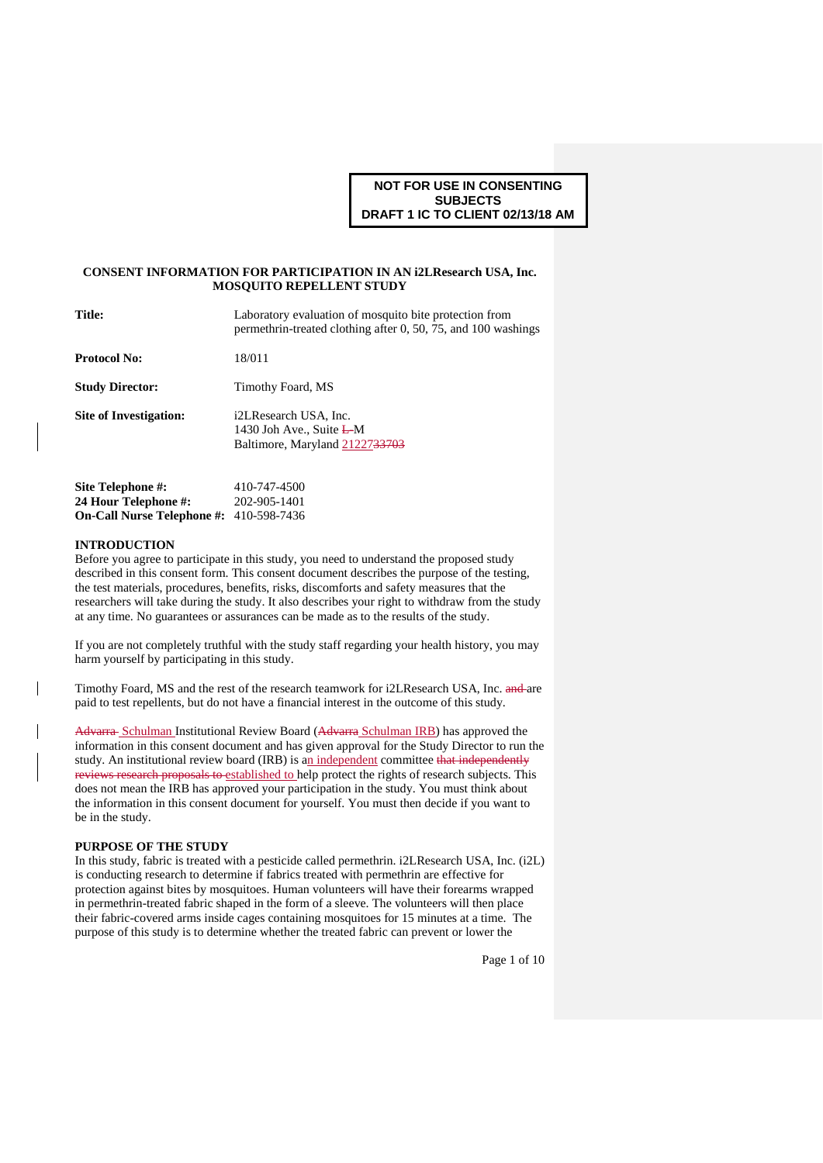### **CONSENT INFORMATION FOR PARTICIPATION IN AN i2LResearch USA, Inc. MOSQUITO REPELLENT STUDY**

| <b>Title:</b>                     | Laboratory evaluation of mosquito bite protection from<br>permethrin-treated clothing after 0, 50, 75, and 100 washings |  |
|-----------------------------------|-------------------------------------------------------------------------------------------------------------------------|--|
| <b>Protocol No:</b>               | 18/011                                                                                                                  |  |
| <b>Study Director:</b>            | Timothy Foard, MS                                                                                                       |  |
| <b>Site of Investigation:</b>     | i2LResearch USA, Inc.<br>1430 Joh Ave., Suite $L M$<br>Baltimore, Maryland 2122733703                                   |  |
| Site Telephone #:                 | 410-747-4500                                                                                                            |  |
| 24 Hour Telephone #:              | 202-905-1401                                                                                                            |  |
| <b>On-Call Nurse Telephone #:</b> | 410-598-7436                                                                                                            |  |

### **INTRODUCTION**

 $\overline{\phantom{a}}$ 

Before you agree to participate in this study, you need to understand the proposed study described in this consent form. This consent document describes the purpose of the testing, the test materials, procedures, benefits, risks, discomforts and safety measures that the researchers will take during the study. It also describes your right to withdraw from the study at any time. No guarantees or assurances can be made as to the results of the study.

If you are not completely truthful with the study staff regarding your health history, you may harm yourself by participating in this study.

Timothy Foard, MS and the rest of the research teamwork for i2LResearch USA, Inc. and are paid to test repellents, but do not have a financial interest in the outcome of this study.

Advarra Schulman Institutional Review Board (Advarra Schulman IRB) has approved the information in this consent document and has given approval for the Study Director to run the study. An institutional review board (IRB) is an independent committee that independently reviews research proposals to established to help protect the rights of research subjects. This does not mean the IRB has approved your participation in the study. You must think about the information in this consent document for yourself. You must then decide if you want to be in the study.

### **PURPOSE OF THE STUDY**

In this study, fabric is treated with a pesticide called permethrin. i2LResearch USA, Inc. (i2L) is conducting research to determine if fabrics treated with permethrin are effective for protection against bites by mosquitoes. Human volunteers will have their forearms wrapped in permethrin-treated fabric shaped in the form of a sleeve. The volunteers will then place their fabric-covered arms inside cages containing mosquitoes for 15 minutes at a time. The purpose of this study is to determine whether the treated fabric can prevent or lower the

Page 1 of 10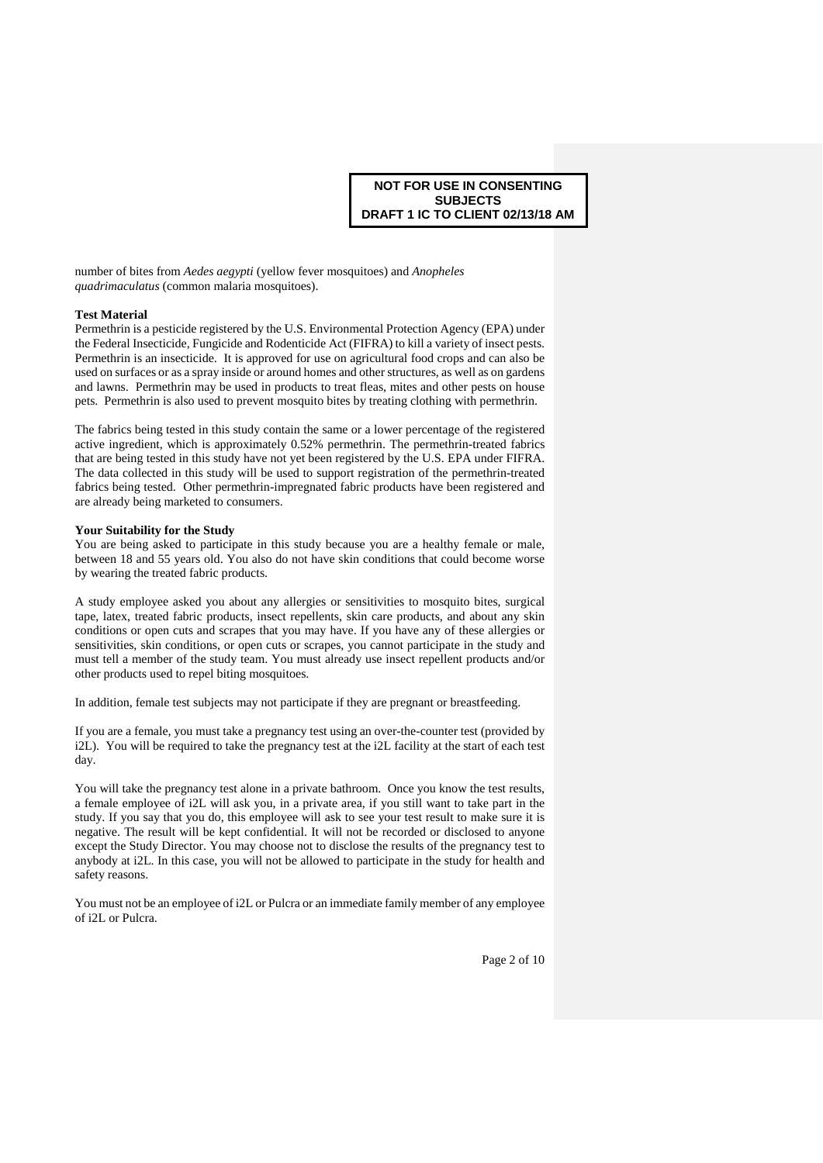number of bites from *Aedes aegypti* (yellow fever mosquitoes) and *Anopheles quadrimaculatus* (common malaria mosquitoes).

### **Test Material**

Permethrin is a pesticide registered by the U.S. Environmental Protection Agency (EPA) under the Federal Insecticide, Fungicide and Rodenticide Act (FIFRA) to kill a variety of insect pests. Permethrin is an insecticide. It is approved for use on agricultural food crops and can also be used on surfaces or as a spray inside or around homes and other structures, as well as on gardens and lawns. Permethrin may be used in products to treat fleas, mites and other pests on house pets. Permethrin is also used to prevent mosquito bites by treating clothing with permethrin.

The fabrics being tested in this study contain the same or a lower percentage of the registered active ingredient, which is approximately 0.52% permethrin. The permethrin-treated fabrics that are being tested in this study have not yet been registered by the U.S. EPA under FIFRA. The data collected in this study will be used to support registration of the permethrin-treated fabrics being tested. Other permethrin-impregnated fabric products have been registered and are already being marketed to consumers.

#### **Your Suitability for the Study**

You are being asked to participate in this study because you are a healthy female or male, between 18 and 55 years old. You also do not have skin conditions that could become worse by wearing the treated fabric products.

A study employee asked you about any allergies or sensitivities to mosquito bites, surgical tape, latex, treated fabric products, insect repellents, skin care products, and about any skin conditions or open cuts and scrapes that you may have. If you have any of these allergies or sensitivities, skin conditions, or open cuts or scrapes, you cannot participate in the study and must tell a member of the study team. You must already use insect repellent products and/or other products used to repel biting mosquitoes.

In addition, female test subjects may not participate if they are pregnant or breastfeeding.

If you are a female, you must take a pregnancy test using an over-the-counter test (provided by i2L). You will be required to take the pregnancy test at the i2L facility at the start of each test day.

You will take the pregnancy test alone in a private bathroom. Once you know the test results, a female employee of i2L will ask you, in a private area, if you still want to take part in the study. If you say that you do, this employee will ask to see your test result to make sure it is negative. The result will be kept confidential. It will not be recorded or disclosed to anyone except the Study Director. You may choose not to disclose the results of the pregnancy test to anybody at i2L. In this case, you will not be allowed to participate in the study for health and safety reasons.

You must not be an employee of i2L or Pulcra or an immediate family member of any employee of i2L or Pulcra.

Page 2 of 10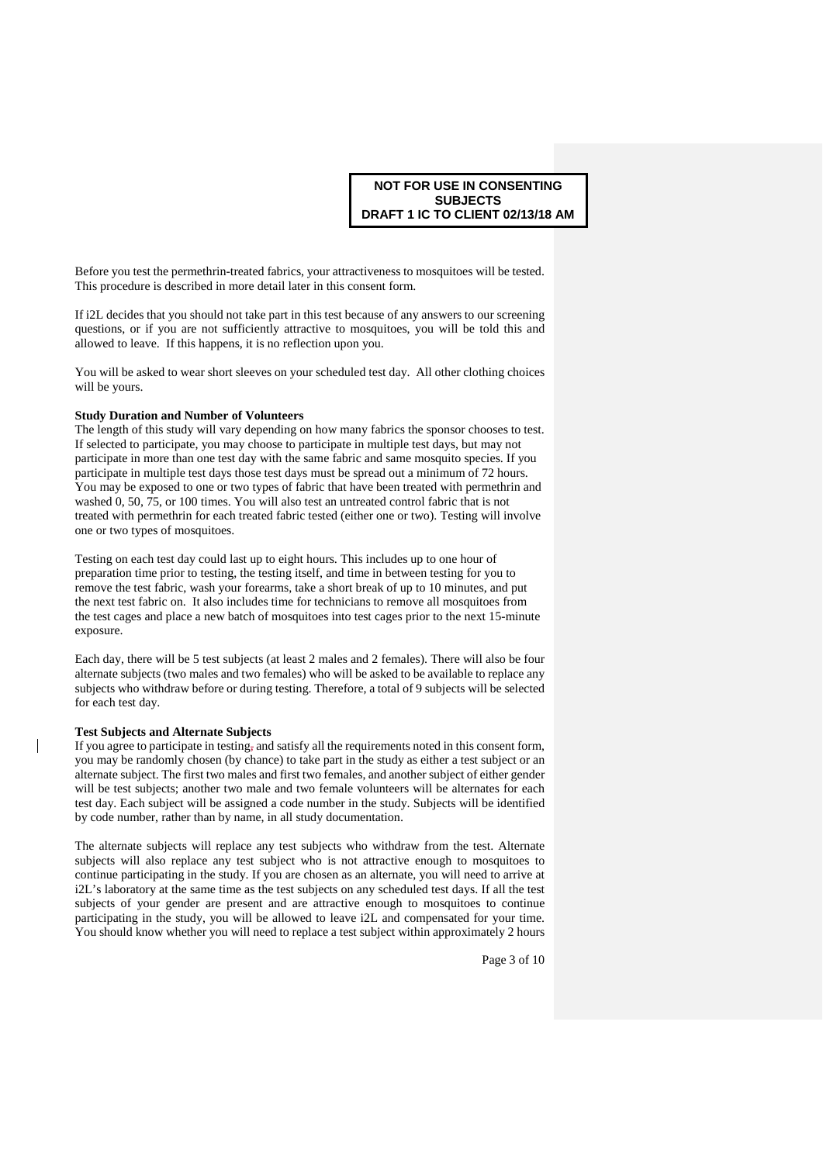Before you test the permethrin-treated fabrics, your attractiveness to mosquitoes will be tested. This procedure is described in more detail later in this consent form.

If i2L decides that you should not take part in this test because of any answers to our screening questions, or if you are not sufficiently attractive to mosquitoes, you will be told this and allowed to leave. If this happens, it is no reflection upon you.

You will be asked to wear short sleeves on your scheduled test day. All other clothing choices will be yours.

## **Study Duration and Number of Volunteers**

The length of this study will vary depending on how many fabrics the sponsor chooses to test. If selected to participate, you may choose to participate in multiple test days, but may not participate in more than one test day with the same fabric and same mosquito species. If you participate in multiple test days those test days must be spread out a minimum of 72 hours. You may be exposed to one or two types of fabric that have been treated with permethrin and washed 0, 50, 75, or 100 times. You will also test an untreated control fabric that is not treated with permethrin for each treated fabric tested (either one or two). Testing will involve one or two types of mosquitoes.

Testing on each test day could last up to eight hours. This includes up to one hour of preparation time prior to testing, the testing itself, and time in between testing for you to remove the test fabric, wash your forearms, take a short break of up to 10 minutes, and put the next test fabric on. It also includes time for technicians to remove all mosquitoes from the test cages and place a new batch of mosquitoes into test cages prior to the next 15-minute exposure.

Each day, there will be 5 test subjects (at least 2 males and 2 females). There will also be four alternate subjects (two males and two females) who will be asked to be available to replace any subjects who withdraw before or during testing. Therefore, a total of 9 subjects will be selected for each test day.

### **Test Subjects and Alternate Subjects**

If you agree to participate in testing, and satisfy all the requirements noted in this consent form, you may be randomly chosen (by chance) to take part in the study as either a test subject or an alternate subject. The first two males and first two females, and another subject of either gender will be test subjects; another two male and two female volunteers will be alternates for each test day. Each subject will be assigned a code number in the study. Subjects will be identified by code number, rather than by name, in all study documentation.

The alternate subjects will replace any test subjects who withdraw from the test. Alternate subjects will also replace any test subject who is not attractive enough to mosquitoes to continue participating in the study. If you are chosen as an alternate, you will need to arrive at i2L's laboratory at the same time as the test subjects on any scheduled test days. If all the test subjects of your gender are present and are attractive enough to mosquitoes to continue participating in the study, you will be allowed to leave i2L and compensated for your time. You should know whether you will need to replace a test subject within approximately 2 hours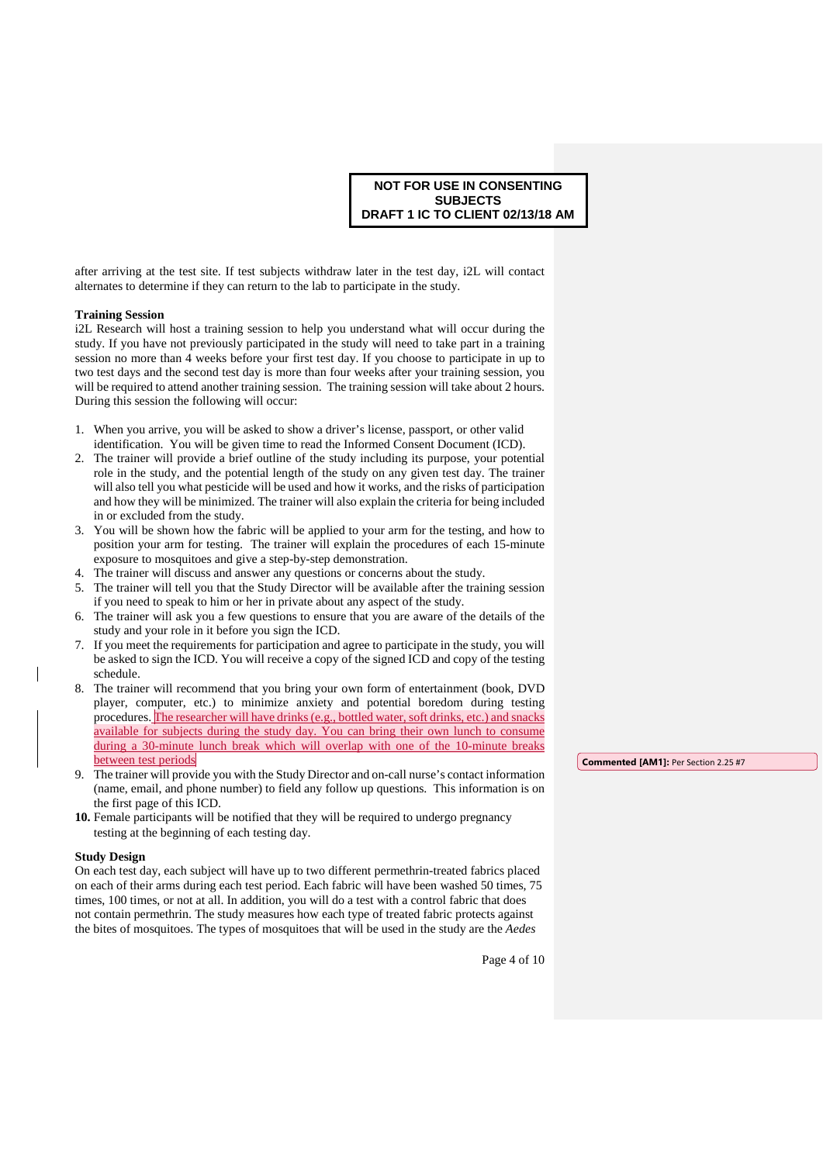after arriving at the test site. If test subjects withdraw later in the test day, i2L will contact alternates to determine if they can return to the lab to participate in the study.

# **Training Session**

i2L Research will host a training session to help you understand what will occur during the study. If you have not previously participated in the study will need to take part in a training session no more than 4 weeks before your first test day. If you choose to participate in up to two test days and the second test day is more than four weeks after your training session, you will be required to attend another training session. The training session will take about 2 hours. During this session the following will occur:

- 1. When you arrive, you will be asked to show a driver's license, passport, or other valid identification. You will be given time to read the Informed Consent Document (ICD).
- 2. The trainer will provide a brief outline of the study including its purpose, your potential role in the study, and the potential length of the study on any given test day. The trainer will also tell you what pesticide will be used and how it works, and the risks of participation and how they will be minimized. The trainer will also explain the criteria for being included in or excluded from the study.
- 3. You will be shown how the fabric will be applied to your arm for the testing, and how to position your arm for testing. The trainer will explain the procedures of each 15-minute exposure to mosquitoes and give a step-by-step demonstration.
- The trainer will discuss and answer any questions or concerns about the study.
- 5. The trainer will tell you that the Study Director will be available after the training session if you need to speak to him or her in private about any aspect of the study.
- 6. The trainer will ask you a few questions to ensure that you are aware of the details of the study and your role in it before you sign the ICD.
- 7. If you meet the requirements for participation and agree to participate in the study, you will be asked to sign the ICD. You will receive a copy of the signed ICD and copy of the testing schedule.
- 8. The trainer will recommend that you bring your own form of entertainment (book, DVD player, computer, etc.) to minimize anxiety and potential boredom during testing procedures. The researcher will have drinks (e.g., bottled water, soft drinks, etc.) and snacks available for subjects during the study day. You can bring their own lunch to consume during a 30-minute lunch break which will overlap with one of the 10-minute breaks between test periods
- 9. The trainer will provide you with the Study Director and on-call nurse's contact information (name, email, and phone number) to field any follow up questions. This information is on the first page of this ICD.
- **10.** Female participants will be notified that they will be required to undergo pregnancy testing at the beginning of each testing day.

#### **Study Design**

On each test day, each subject will have up to two different permethrin-treated fabrics placed on each of their arms during each test period. Each fabric will have been washed 50 times, 75 times, 100 times, or not at all. In addition, you will do a test with a control fabric that does not contain permethrin. The study measures how each type of treated fabric protects against the bites of mosquitoes. The types of mosquitoes that will be used in the study are the *Aedes* 

**Commented [AM1]:** Per Section 2.25 #7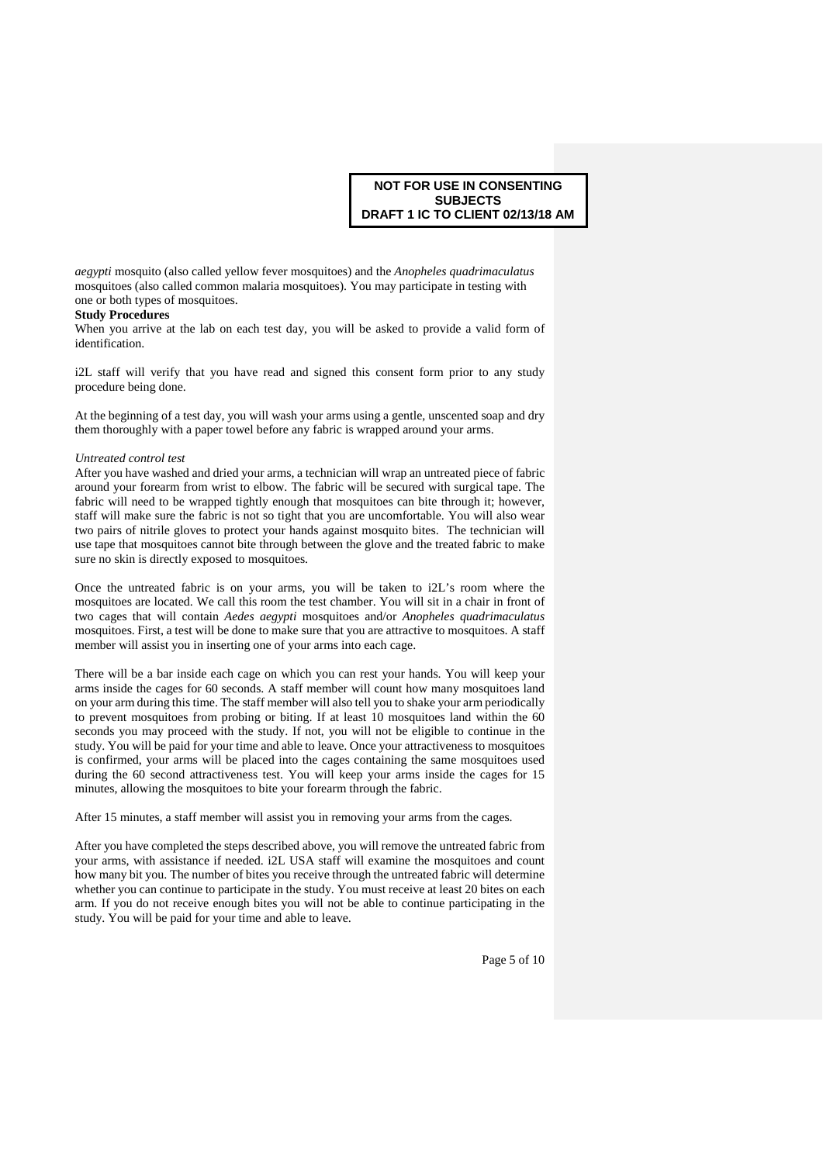*aegypti* mosquito (also called yellow fever mosquitoes) and the *Anopheles quadrimaculatus* mosquitoes (also called common malaria mosquitoes). You may participate in testing with one or both types of mosquitoes.

### **Study Procedures**

When you arrive at the lab on each test day, you will be asked to provide a valid form of identification.

i2L staff will verify that you have read and signed this consent form prior to any study procedure being done.

At the beginning of a test day, you will wash your arms using a gentle, unscented soap and dry them thoroughly with a paper towel before any fabric is wrapped around your arms.

### *Untreated control test*

After you have washed and dried your arms, a technician will wrap an untreated piece of fabric around your forearm from wrist to elbow. The fabric will be secured with surgical tape. The fabric will need to be wrapped tightly enough that mosquitoes can bite through it; however, staff will make sure the fabric is not so tight that you are uncomfortable. You will also wear two pairs of nitrile gloves to protect your hands against mosquito bites. The technician will use tape that mosquitoes cannot bite through between the glove and the treated fabric to make sure no skin is directly exposed to mosquitoes.

Once the untreated fabric is on your arms, you will be taken to i2L's room where the mosquitoes are located. We call this room the test chamber. You will sit in a chair in front of two cages that will contain *Aedes aegypti* mosquitoes and/or *Anopheles quadrimaculatus* mosquitoes. First, a test will be done to make sure that you are attractive to mosquitoes. A staff member will assist you in inserting one of your arms into each cage.

There will be a bar inside each cage on which you can rest your hands. You will keep your arms inside the cages for 60 seconds. A staff member will count how many mosquitoes land on your arm during this time. The staff member will also tell you to shake your arm periodically to prevent mosquitoes from probing or biting. If at least 10 mosquitoes land within the 60 seconds you may proceed with the study. If not, you will not be eligible to continue in the study. You will be paid for your time and able to leave. Once your attractiveness to mosquitoes is confirmed, your arms will be placed into the cages containing the same mosquitoes used during the 60 second attractiveness test. You will keep your arms inside the cages for 15 minutes, allowing the mosquitoes to bite your forearm through the fabric.

After 15 minutes, a staff member will assist you in removing your arms from the cages.

After you have completed the steps described above, you will remove the untreated fabric from your arms, with assistance if needed. i2L USA staff will examine the mosquitoes and count how many bit you. The number of bites you receive through the untreated fabric will determine whether you can continue to participate in the study. You must receive at least 20 bites on each arm. If you do not receive enough bites you will not be able to continue participating in the study. You will be paid for your time and able to leave.

Page 5 of 10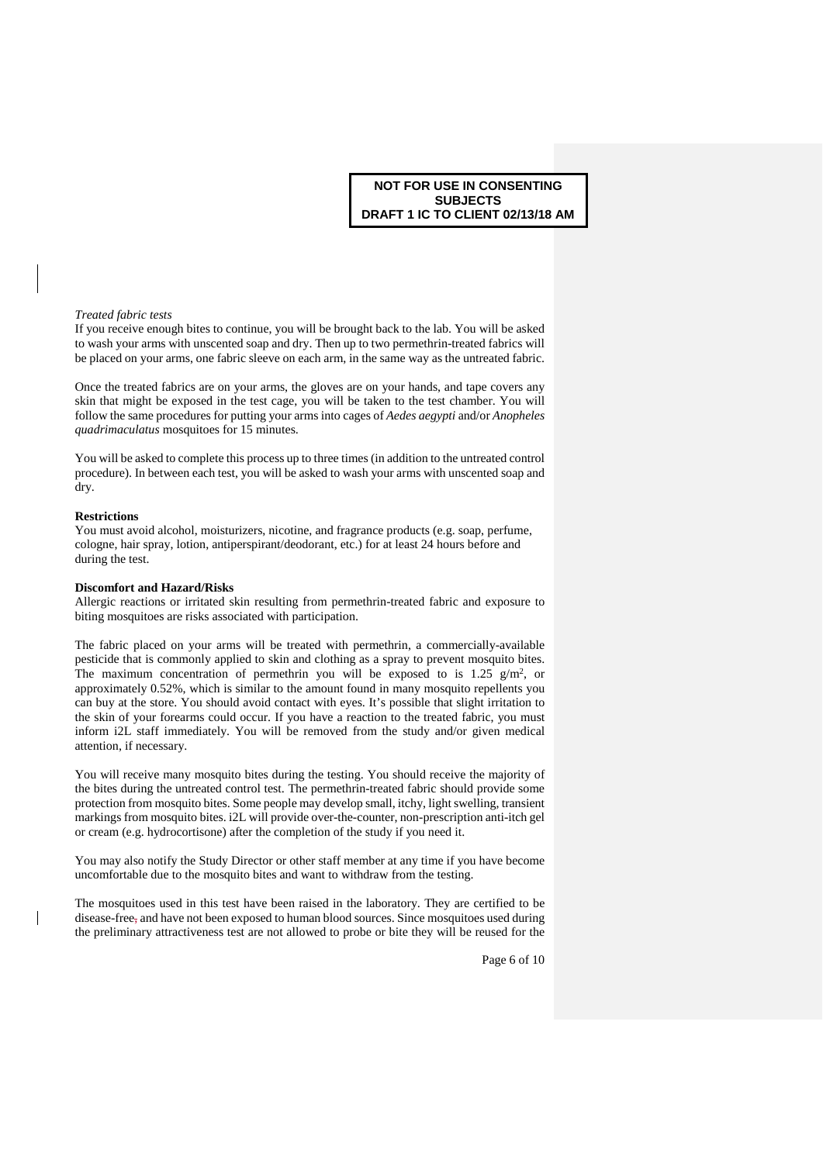#### *Treated fabric tests*

If you receive enough bites to continue, you will be brought back to the lab. You will be asked to wash your arms with unscented soap and dry. Then up to two permethrin-treated fabrics will be placed on your arms, one fabric sleeve on each arm, in the same way as the untreated fabric.

Once the treated fabrics are on your arms, the gloves are on your hands, and tape covers any skin that might be exposed in the test cage, you will be taken to the test chamber. You will follow the same procedures for putting your arms into cages of *Aedes aegypti* and/or *Anopheles quadrimaculatus* mosquitoes for 15 minutes.

You will be asked to complete this process up to three times (in addition to the untreated control procedure). In between each test, you will be asked to wash your arms with unscented soap and dry.

#### **Restrictions**

You must avoid alcohol, moisturizers, nicotine, and fragrance products (e.g. soap, perfume, cologne, hair spray, lotion, antiperspirant/deodorant, etc.) for at least 24 hours before and during the test.

#### **Discomfort and Hazard/Risks**

Allergic reactions or irritated skin resulting from permethrin-treated fabric and exposure to biting mosquitoes are risks associated with participation.

The fabric placed on your arms will be treated with permethrin, a commercially-available pesticide that is commonly applied to skin and clothing as a spray to prevent mosquito bites. The maximum concentration of permethrin you will be exposed to is 1.25  $g/m^2$ , or approximately 0.52%, which is similar to the amount found in many mosquito repellents you can buy at the store. You should avoid contact with eyes. It's possible that slight irritation to the skin of your forearms could occur. If you have a reaction to the treated fabric, you must inform i2L staff immediately. You will be removed from the study and/or given medical attention, if necessary.

You will receive many mosquito bites during the testing. You should receive the majority of the bites during the untreated control test. The permethrin-treated fabric should provide some protection from mosquito bites. Some people may develop small, itchy, light swelling, transient markings from mosquito bites. i2L will provide over-the-counter, non-prescription anti-itch gel or cream (e.g. hydrocortisone) after the completion of the study if you need it.

You may also notify the Study Director or other staff member at any time if you have become uncomfortable due to the mosquito bites and want to withdraw from the testing.

The mosquitoes used in this test have been raised in the laboratory. They are certified to be disease-free, and have not been exposed to human blood sources. Since mosquitoes used during the preliminary attractiveness test are not allowed to probe or bite they will be reused for the

Page 6 of 10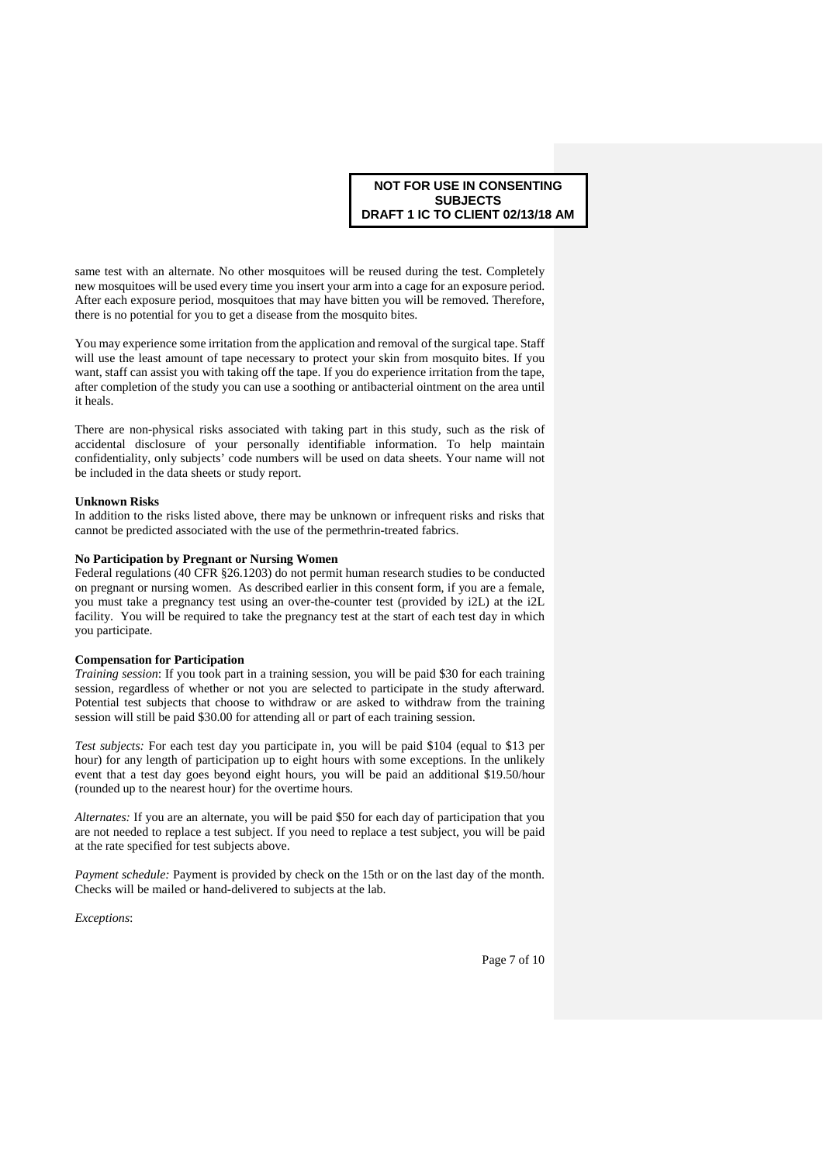same test with an alternate. No other mosquitoes will be reused during the test. Completely new mosquitoes will be used every time you insert your arm into a cage for an exposure period. After each exposure period, mosquitoes that may have bitten you will be removed. Therefore, there is no potential for you to get a disease from the mosquito bites.

You may experience some irritation from the application and removal of the surgical tape. Staff will use the least amount of tape necessary to protect your skin from mosquito bites. If you want, staff can assist you with taking off the tape. If you do experience irritation from the tape, after completion of the study you can use a soothing or antibacterial ointment on the area until it heals.

There are non-physical risks associated with taking part in this study, such as the risk of accidental disclosure of your personally identifiable information. To help maintain confidentiality, only subjects' code numbers will be used on data sheets. Your name will not be included in the data sheets or study report.

### **Unknown Risks**

In addition to the risks listed above, there may be unknown or infrequent risks and risks that cannot be predicted associated with the use of the permethrin-treated fabrics.

## **No Participation by Pregnant or Nursing Women**

Federal regulations (40 CFR §26.1203) do not permit human research studies to be conducted on pregnant or nursing women. As described earlier in this consent form, if you are a female, you must take a pregnancy test using an over-the-counter test (provided by i2L) at the i2L facility. You will be required to take the pregnancy test at the start of each test day in which you participate.

## **Compensation for Participation**

*Training session*: If you took part in a training session, you will be paid \$30 for each training session, regardless of whether or not you are selected to participate in the study afterward. Potential test subjects that choose to withdraw or are asked to withdraw from the training session will still be paid \$30.00 for attending all or part of each training session.

*Test subjects:* For each test day you participate in, you will be paid \$104 (equal to \$13 per hour) for any length of participation up to eight hours with some exceptions. In the unlikely event that a test day goes beyond eight hours, you will be paid an additional \$19.50/hour (rounded up to the nearest hour) for the overtime hours.

*Alternates:* If you are an alternate, you will be paid \$50 for each day of participation that you are not needed to replace a test subject. If you need to replace a test subject, you will be paid at the rate specified for test subjects above.

*Payment schedule:* Payment is provided by check on the 15th or on the last day of the month. Checks will be mailed or hand-delivered to subjects at the lab.

*Exceptions*: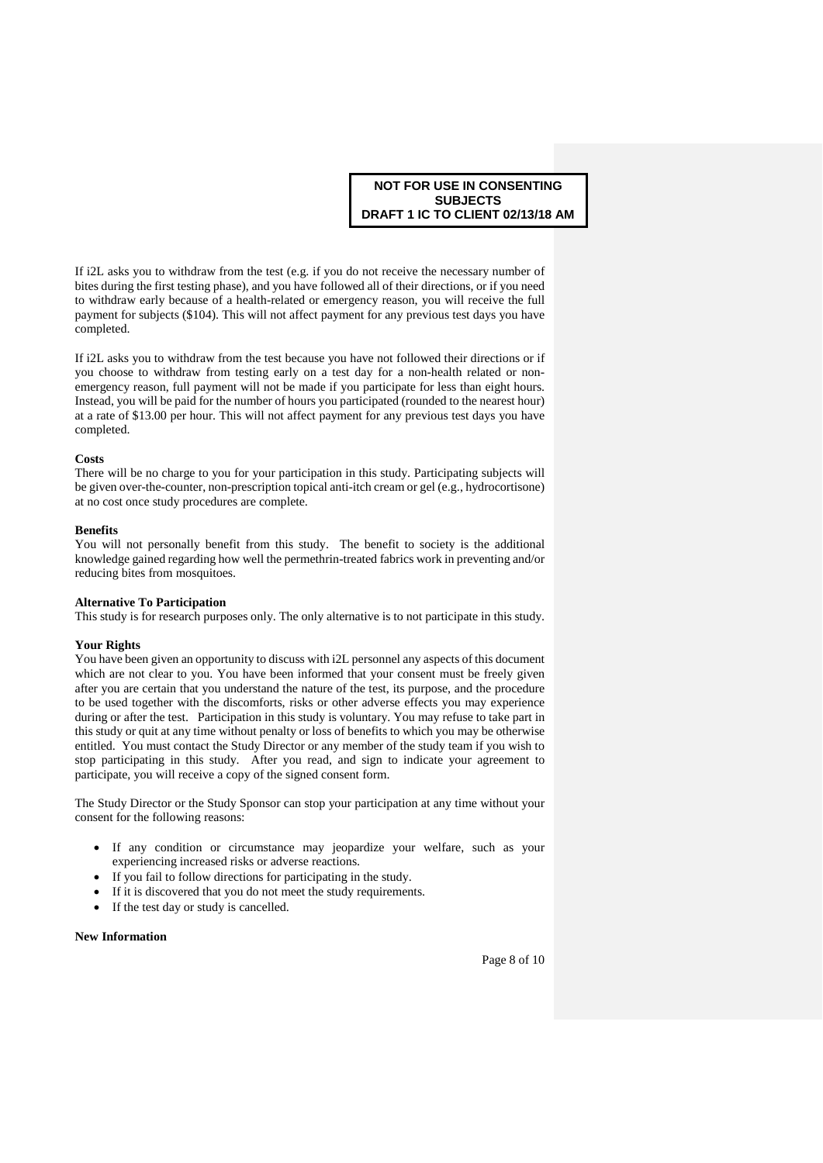If i2L asks you to withdraw from the test (e.g. if you do not receive the necessary number of bites during the first testing phase), and you have followed all of their directions, or if you need to withdraw early because of a health-related or emergency reason, you will receive the full payment for subjects (\$104). This will not affect payment for any previous test days you have completed.

If i2L asks you to withdraw from the test because you have not followed their directions or if you choose to withdraw from testing early on a test day for a non-health related or nonemergency reason, full payment will not be made if you participate for less than eight hours. Instead, you will be paid for the number of hours you participated (rounded to the nearest hour) at a rate of \$13.00 per hour. This will not affect payment for any previous test days you have completed.

### **Costs**

There will be no charge to you for your participation in this study. Participating subjects will be given over-the-counter, non-prescription topical anti-itch cream or gel (e.g., hydrocortisone) at no cost once study procedures are complete.

#### **Benefits**

You will not personally benefit from this study. The benefit to society is the additional knowledge gained regarding how well the permethrin-treated fabrics work in preventing and/or reducing bites from mosquitoes.

#### **Alternative To Participation**

This study is for research purposes only. The only alternative is to not participate in this study.

### **Your Rights**

You have been given an opportunity to discuss with i2L personnel any aspects of this document which are not clear to you. You have been informed that your consent must be freely given after you are certain that you understand the nature of the test, its purpose, and the procedure to be used together with the discomforts, risks or other adverse effects you may experience during or after the test. Participation in this study is voluntary. You may refuse to take part in this study or quit at any time without penalty or loss of benefits to which you may be otherwise entitled. You must contact the Study Director or any member of the study team if you wish to stop participating in this study. After you read, and sign to indicate your agreement to participate, you will receive a copy of the signed consent form.

The Study Director or the Study Sponsor can stop your participation at any time without your consent for the following reasons:

- If any condition or circumstance may jeopardize your welfare, such as your experiencing increased risks or adverse reactions.
- If you fail to follow directions for participating in the study.
- If it is discovered that you do not meet the study requirements.
- If the test day or study is cancelled.

# **New Information**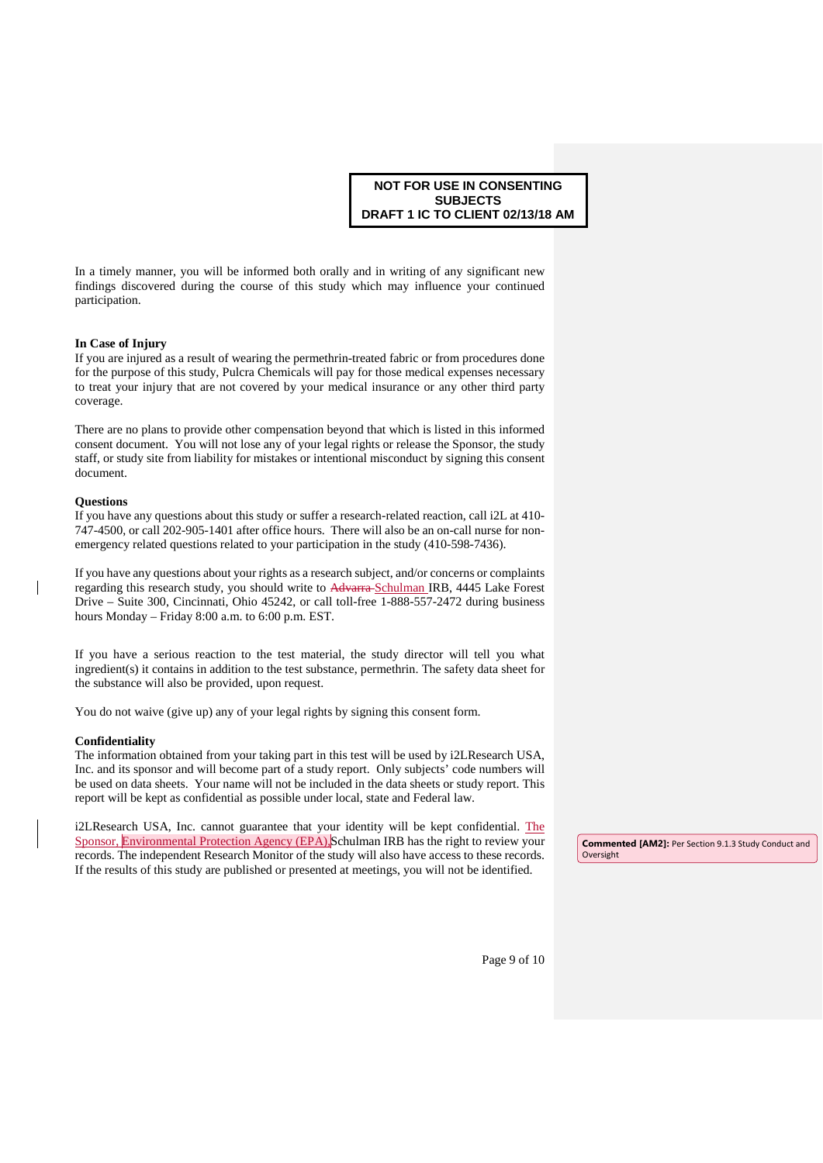In a timely manner, you will be informed both orally and in writing of any significant new findings discovered during the course of this study which may influence your continued participation.

### **In Case of Injury**

If you are injured as a result of wearing the permethrin-treated fabric or from procedures done for the purpose of this study, Pulcra Chemicals will pay for those medical expenses necessary to treat your injury that are not covered by your medical insurance or any other third party coverage.

There are no plans to provide other compensation beyond that which is listed in this informed consent document. You will not lose any of your legal rights or release the Sponsor, the study staff, or study site from liability for mistakes or intentional misconduct by signing this consent document.

#### **Questions**

If you have any questions about this study or suffer a research-related reaction, call i2L at 410- 747-4500, or call 202-905-1401 after office hours. There will also be an on-call nurse for nonemergency related questions related to your participation in the study (410-598-7436).

If you have any questions about your rights as a research subject, and/or concerns or complaints regarding this research study, you should write to Advarra Schulman IRB, 4445 Lake Forest Drive – Suite 300, Cincinnati, Ohio 45242, or call toll-free 1-888-557-2472 during business hours Monday – Friday 8:00 a.m. to 6:00 p.m. EST.

If you have a serious reaction to the test material, the study director will tell you what ingredient(s) it contains in addition to the test substance, permethrin. The safety data sheet for the substance will also be provided, upon request.

You do not waive (give up) any of your legal rights by signing this consent form.

#### **Confidentiality**

The information obtained from your taking part in this test will be used by i2LResearch USA, Inc. and its sponsor and will become part of a study report. Only subjects' code numbers will be used on data sheets. Your name will not be included in the data sheets or study report. This report will be kept as confidential as possible under local, state and Federal law.

i2LResearch USA, Inc. cannot guarantee that your identity will be kept confidential. The Sponsor, Environmental Protection Agency (EPA),Schulman IRB has the right to review your records. The independent Research Monitor of the study will also have access to these records. If the results of this study are published or presented at meetings, you will not be identified.

**Commented [AM2]:** Per Section 9.1.3 Study Conduct and Oversight

Page 9 of 10